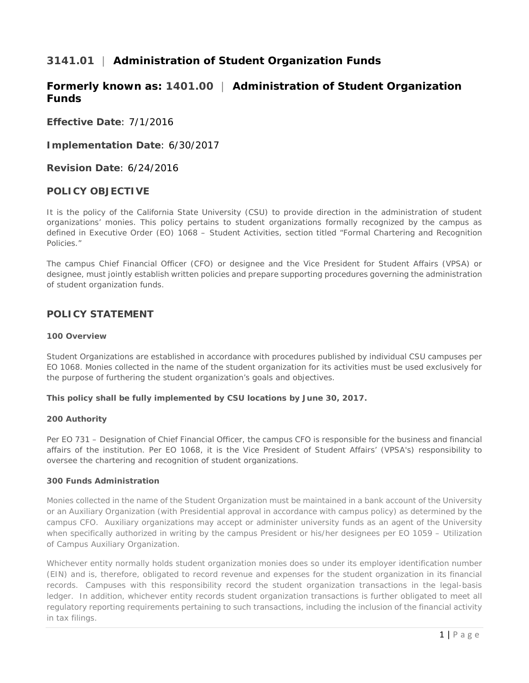# **3141.01** | **Administration of Student Organization Funds**

# **Formerly known as: 1401.00** | **Administration of Student Organization Funds**

**Effective Date**: 7/1/2016

**Implementation Date**: 6/30/2017

**Revision Date**: 6/24/2016

## **POLICY OBJECTIVE**

It is the policy of the California State University (CSU) to provide direction in the administration of student organizations' monies. This policy pertains to student organizations formally recognized by the campus as defined in Executive Order (EO) 1068 – Student Activities, section titled "Formal Chartering and Recognition Policies."

The campus Chief Financial Officer (CFO) or designee and the Vice President for Student Affairs (VPSA) or designee, must jointly establish written policies and prepare supporting procedures governing the administration of student organization funds.

## **POLICY STATEMENT**

## **100 Overview**

Student Organizations are established in accordance with procedures published by individual CSU campuses per EO 1068. Monies collected in the name of the student organization for its activities must be used exclusively for the purpose of furthering the student organization's goals and objectives.

## **This policy shall be fully implemented by CSU locations by June 30, 2017.**

## **200 Authority**

Per EO 731 – Designation of Chief Financial Officer, the campus CFO is responsible for the business and financial affairs of the institution. Per EO 1068, it is the Vice President of Student Affairs' (VPSA's) responsibility to oversee the chartering and recognition of student organizations.

## **300 Funds Administration**

Monies collected in the name of the Student Organization must be maintained in a bank account of the University or an Auxiliary Organization (with Presidential approval in accordance with campus policy) as determined by the campus CFO. Auxiliary organizations may accept or administer university funds as an agent of the University when specifically authorized in writing by the campus President or his/her designees per EO 1059 – Utilization of Campus Auxiliary Organization.

Whichever entity normally holds student organization monies does so under its employer identification number (EIN) and is, therefore, obligated to record revenue and expenses for the student organization in its financial records. Campuses with this responsibility record the student organization transactions in the legal-basis ledger. In addition, whichever entity records student organization transactions is further obligated to meet all regulatory reporting requirements pertaining to such transactions, including the inclusion of the financial activity in tax filings.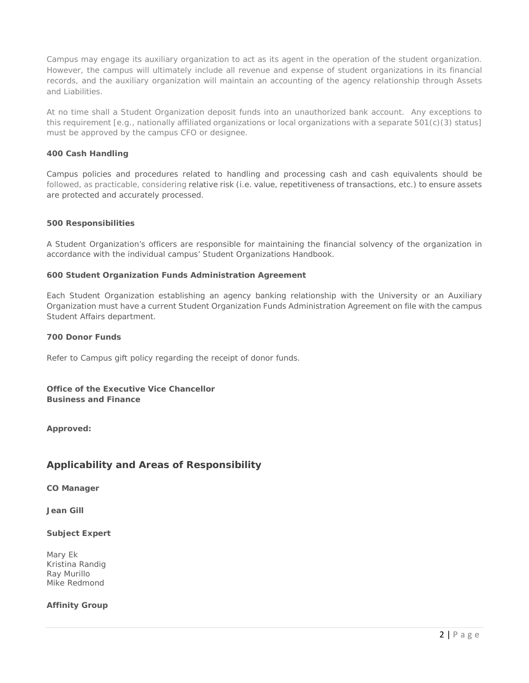Campus may engage its auxiliary organization to act as its agent in the operation of the student organization. However, the campus will ultimately include all revenue and expense of student organizations in its financial records, and the auxiliary organization will maintain an accounting of the agency relationship through Assets and Liabilities.

At no time shall a Student Organization deposit funds into an unauthorized bank account. Any exceptions to this requirement [e.g., nationally affiliated organizations or local organizations with a separate 501(c)(3) status] must be approved by the campus CFO or designee.

## **400 Cash Handling**

Campus policies and procedures related to handling and processing cash and cash equivalents should be followed, as practicable, considering relative risk (i.e. value, repetitiveness of transactions, etc.) to ensure assets are protected and accurately processed.

## **500 Responsibilities**

A Student Organization's officers are responsible for maintaining the financial solvency of the organization in accordance with the individual campus' Student Organizations Handbook.

## **600 Student Organization Funds Administration Agreement**

Each Student Organization establishing an agency banking relationship with the University or an Auxiliary Organization must have a current Student Organization Funds Administration Agreement on file with the campus Student Affairs department.

## **700 Donor Funds**

Refer to Campus gift policy regarding the receipt of donor funds.

## **Office of the Executive Vice Chancellor Business and Finance**

**Approved:**

# **Applicability and Areas of Responsibility**

**CO Manager**

**Jean Gill**

## **Subject Expert**

Mary Ek Kristina Randig Ray Murillo Mike Redmond

## **Affinity Group**